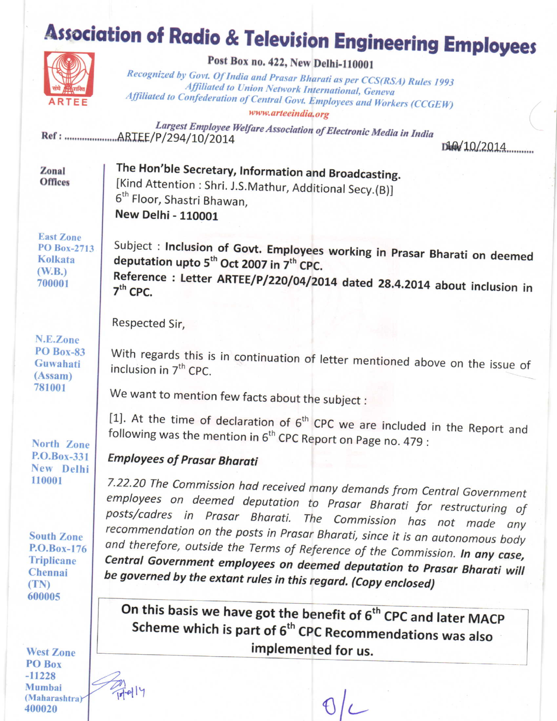## **Association of Radio & Television Engineering Employees**



## Post Box no. 422, New Delhi-110001

Recognized by Govt. Of India and Prasar Bharati as per CCS(RSA) Rules 1993 Affiliated to Union Network International, Geneva Affiliated to Confederation of Central Govt. Employees and Workers (CCGEW)

www.arteeindia.org

Largest Employee Welfare Association of Electronic Media in India 

We want to mention few facts about the subject :

following was the mention in 6<sup>th</sup> CPC Report on Page no. 479 :

be governed by the extant rules in this regard. (Copy enclosed)

DkRd 10/2014

| Zonal<br><b>Offices</b> | The Hon'ble Secretary, Information and Broadcasting.<br>[Kind Attention : Shri. J.S.Mathur, Additional Secy.(B)]<br>6 <sup>th</sup> Floor, Shastri Bhawan, |
|-------------------------|------------------------------------------------------------------------------------------------------------------------------------------------------------|
|                         | New Delhi - 110001                                                                                                                                         |

**East Zone PO Box-2713** Kolkata  $(W.B.)$ 700001

Subject : Inclusion of Govt. Employees working in Prasar Bharati on deemed deputation upto 5<sup>th</sup> Oct 2007 in 7<sup>th</sup> CPC. Reference : Letter ARTEE/P/220/04/2014 dated 28.4.2014 about inclusion in  $7<sup>th</sup>$  CPC.

With regards this is in continuation of letter mentioned above on the issue of

[1]. At the time of declaration of  $6<sup>th</sup>$  CPC we are included in the Report and

7.22.20 The Commission had received many demands from Central Government

employees on deemed deputation to Prasar Bharati for restructuring of posts/cadres in Prasar Bharati. The Commission has not made any recommendation on the posts in Prasar Bharati, since it is an autonomous body

and therefore, outside the Terms of Reference of the Commission. In any case,

Central Government employees on deemed deputation to Prasar Bharati will

On this basis we have got the benefit of 6<sup>th</sup> CPC and later MACP Scheme which is part of 6<sup>th</sup> CPC Recommendations was also

implemented for us.

Respected Sir.

inclusion in 7<sup>th</sup> CPC.

**Employees of Prasar Bharati** 

N.E.Zone **PO Box-83** Guwahati  $(Assam)$ 781001

**North Zone** P.O.Box-331 New Delhi 110001

**South Zone** P.O.Box-176 **Triplicane** Chennai (TN) 600005

**West Zone** PO Box  $-11228$ Mumbai (Maharashtra) 400020